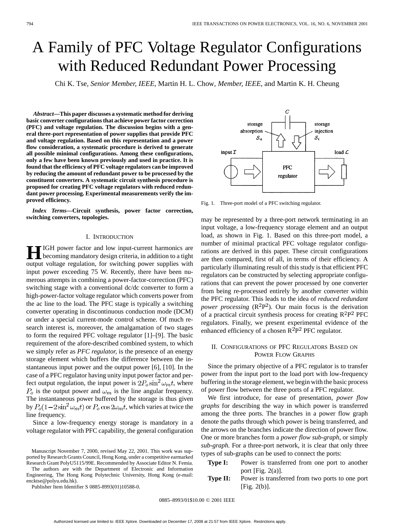# A Family of PFC Voltage Regulator Configurations with Reduced Redundant Power Processing

Chi K. Tse*, Senior Member, IEEE*, Martin H. L. Chow*, Member, IEEE*, and Martin K. H. Cheung

*Abstract—***This paper discusses a systematic method for deriving basic converter configurations that achieve power factor correction (PFC) and voltage regulation. The discussion begins with a general three-port representation of power supplies that provide PFC and voltage regulation. Based on this representation and a power flow consideration, a systematic procedure is derived to generate all possible minimal configurations. Among these configurations, only a few have been known previously and used in practice. It is found that the efficiency of PFC voltage regulators can be improved by reducing the amount of redundant power to be processed by the constituent converters. A systematic circuit synthesis procedure is proposed for creating PFC voltage regulators with reduced redundant power processing. Experimental measurements verify the improved efficiency.**

*Index Terms—***Circuit synthesis, power factor correction, switching converters, topologies.**

## I. INTRODUCTION

**H**IGH power factor and low input-current harmonics are becoming mandatory design criteria, in addition to a tight output voltage regulation, for switching power supplies with input power exceeding 75 W. Recently, there have been numerous attempts in combining a power-factor-correction (PFC) switching stage with a conventional dc/dc converter to form a high-power-factor voltage regulator which converts power from the ac line to the load. The PFC stage is typically a switching converter operating in discontinuous conduction mode (DCM) or under a special current-mode control scheme. Of much research interest is, moreover, the amalgamation of two stages to form the required PFC voltage regulator [1]–[9]. The basic requirement of the afore-described combined system, to which we simply refer as *PFC regulator,* is the presence of an energy storage element which buffers the difference between the instantaneous input power and the output power [6], [10]. In the case of a PFC regulator having unity input power factor and perfect output regulation, the input power is  $2P_o \sin^2 \omega_m t$ , where  $P<sub>o</sub>$  is the output power and  $\omega_m$  is the line angular frequency. The instantaneous power buffered by the storage is thus given by  $P_0(1-2\sin^2\omega_m t)$  or  $P_0\cos 2\omega_m t$ , which varies at twice the line frequency.

Since a low-frequency energy storage is mandatory in a voltage regulator with PFC capability, the general configuration

Manuscript November 7, 2000, revised May 22, 2001. This work was supported by Research Grants Council, Hong Kong, under a competitive earmarked Research Grant PolyU5115/99E. Recommended by Associate Editor N. Femia.

The authors are with the Department of Electronic and Information Engineering, The Hong Kong Polytechnic University, Hong Kong (e-mail: encktse@polyu.edu.hk).

Publisher Item Identifier S 0885-8993(01)10588-0.



Fig. 1. Three-port model of a PFC switching regulator.

may be represented by a three-port network terminating in an input voltage, a low-frequency storage element and an output load, as shown in Fig. 1. Based on this three-port model, a number of minimal practical PFC voltage regulator configurations are derived in this paper. These circuit configurations are then compared, first of all, in terms of their efficiency. A particularly illuminating result of this study is that efficient PFC regulators can be constructed by selecting appropriate configurations that can prevent the power processed by one converter from being re-processed entirely by another converter within the PFC regulator. This leads to the idea of *reduced redundant power processing*  $(R^2P^2)$ . Our main focus is the derivation of a practical circuit synthesis process for creating  $R^2P^2$  PFC regulators. Finally, we present experimental evidence of the enhanced efficiency of a chosen  $R^2P^2$  PFC regulator.

# II. CONFIGURATIONS OF PFC REGULATORS BASED ON POWER FLOW GRAPHS

Since the primary objective of a PFC regulator is to transfer power from the input port to the load port with low-frequency buffering in the storage element, we begin with the basic process of power flow between the three ports of a PFC regulator.

We first introduce, for ease of presentation, *power flow graphs* for describing the way in which power is transferred among the three ports. The branches in a power flow graph denote the paths through which power is being transferred, and the arrows on the branches indicate the direction of power flow. One or more branches form a *power flow sub-graph,* or simply *sub-graph.* For a three-port network, it is clear that only three types of sub-graphs can be used to connect the ports:

- **Type I:** Power is transferred from one port to another port [Fig. 2(a)].
- **Type II:** Power is transferred from two ports to one port [Fig. 2(b)].

0885–8993/01\$10.00 © 2001 IEEE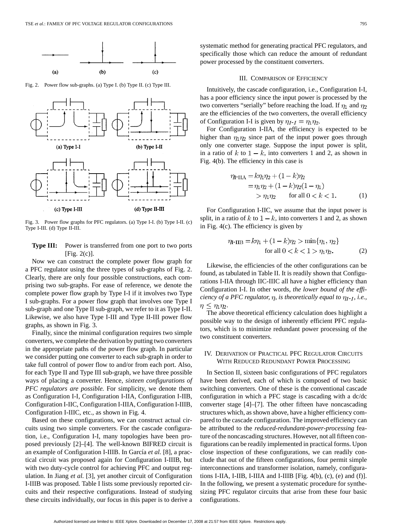

Fig. 2. Power flow sub-graphs. (a) Type I. (b) Type II. (c) Type III.



Fig. 3. Power flow graphs for PFC regulators. (a) Type I-I. (b) Type I-II. (c) Type I-III. (d) Type II-III.

**Type III:** Power is transferred from one port to two ports  $[Fig. 2(c)].$ 

Now we can construct the complete power flow graph for a PFC regulator using the three types of sub-graphs of Fig. 2. Clearly, there are only four possible constructions, each comprising two sub-graphs. For ease of reference, we denote the complete power flow graph by Type I-I if it involves two Type I sub-graphs. For a power flow graph that involves one Type I sub-graph and one Type II sub-graph, we refer to it as Type I-II. Likewise, we also have Type I-III and Type II-III power flow graphs, as shown in Fig. 3.

Finally, since the minimal configuration requires two simple converters, we complete the derivation by putting two converters in the appropriate paths of the power flow graph. In particular we consider putting one converter to each sub-graph in order to take full control of power flow to and/or from each port. Also, for each Type II and Type III sub-graph, we have three possible ways of placing a converter. Hence, *sixteen configurations of PFC regulators are possible.* For simplicity, we denote them as Configuration I-I, Configuration I-IIA, Configuration I-IIB, Configuration I-IIC, Configuration I-IIIA, Configuration I-IIIB, Configuration I-IIIC, etc., as shown in Fig. 4.

Based on these configurations, we can construct actual circuits using two simple converters. For the cascade configuration, i.e., Configuration I-I, many topologies have been proposed previously [2]–[4]. The well-known BIFRED circuit is an example of Configuration I-IIIB. In García *et al.* [8], a practical circuit was proposed again for Configuration I-IIIB, but with two duty-cycle control for achieving PFC and output regulation. In Jiang *et al.* [3], yet another circuit of Configuration I-IIIB was proposed. Table I lists some previously reported circuits and their respective configurations. Instead of studying these circuits individually, our focus in this paper is to derive a systematic method for generating practical PFC regulators, and specifically those which can reduce the amount of redundant power processed by the constituent converters.

#### III. COMPARISON OF EFFICIENCY

Intuitively, the cascade configuration, i.e., Configuration I-I, has a poor efficiency since the input power is processed by the two converters "serially" before reaching the load. If  $\eta_1$  and  $\eta_2$ are the efficiencies of the two converters, the overall efficiency of Configuration I-I is given by  $\eta_{I-I} = \eta_1 \eta_2$ .

For Configuration I-IIA, the efficiency is expected to be higher than  $\eta_1 \eta_2$  since part of the input power goes through only one converter stage. Suppose the input power is split, in a ratio of k to  $1 - k$ , into converters 1 and 2, as shown in Fig. 4(b). The efficiency in this case is

$$
\eta_{\text{I-IIA}} = k\eta_1 \eta_2 + (1 - k)\eta_2 \n= \eta_1 \eta_2 + (1 - k)\eta_2 (1 - \eta_1) \n> \eta_1 \eta_2 \quad \text{for all } 0 < k < 1.
$$
\n(1)

For Configuration I-IIC, we assume that the input power is split, in a ratio of k to  $1 - k$ , into converters 1 and 2, as shown in Fig. 4(c). The efficiency is given by

$$
\eta_{\text{I-IIB}} = k\eta_1 + (1 - k)\eta_2 > \min\{\eta_1, \eta_2\}
$$
  
for all  $0 < k < 1 > \eta_1 \eta_2$ . (2)

Likewise, the efficiencies of the other configurations can be found, as tabulated in Table II. It is readily shown that Configurations I-IIA through IIC-IIIC all have a higher efficiency than Configuration I-I. In other words, *the lower bound of the efficiency of a PFC regulator,*  $\eta$ , *is theoretically equal to*  $\eta_{I-I}$ , *i.e.*,  $\eta \leq \eta_1 \eta_2$ .

The above theoretical efficiency calculation does highlight a possible way to the design of inherently efficient PFC regulators, which is to minimize redundant power processing of the two constituent converters.

# IV. DERIVATION OF PRACTICAL PFC REGULATOR CIRCUITS WITH REDUCED REDUNDANT POWER PROCESSING

In Section II, sixteen basic configurations of PFC regulators have been derived, each of which is composed of two basic switching converters. One of these is the conventional cascade configuration in which a PFC stage is cascading with a dc/dc converter stage [4]–[7]. The other fifteen have noncascading structures which, as shown above, have a higher efficiency compared to the cascade configuration. The improved efficiency can be attributed to the *reduced-redundant-power-processing* feature of the noncascading structures. However, not all fifteen configurations can be readily implemented in practical forms. Upon close inspection of these configurations, we can readily conclude that out of the fifteen configurations, four permit simple interconnections and transformer isolation, namely, configurations I-IIA, I-IIB, I-IIIA and I-IIIB [Fig. 4(b), (c), (e) and (f)]. In the following, we present a systematic procedure for synthesizing PFC regulator circuits that arise from these four basic configurations.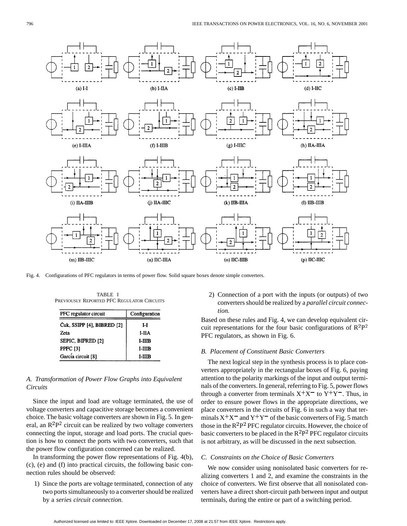

Fig. 4. Configurations of PFC regulators in terms of power flow. Solid square boxes denote simple converters.

TABLE I PREVIOUSLY REPORTED PFC REGULATOR CIRCUITS

| PFC regulator circuit      | Configuration |  |
|----------------------------|---------------|--|
| Ćuk, SSIPP [4], BIBRED [2] | I-I           |  |
| Zeta                       | I-IIA         |  |
| SEPIC, BIFRED [2]          | I-IIIB        |  |
| PPFC [3]                   | $I-IIIB$      |  |
| García circuit [8]         | I-IIIB        |  |

# *A. Transformation of Power Flow Graphs into Equivalent Circuits*

Since the input and load are voltage terminated, the use of voltage converters and capacitive storage becomes a convenient choice. The basic voltage converters are shown in Fig. 5. In general, an  $R^2P^2$  circuit can be realized by two voltage converters connecting the input, storage and load ports. The crucial question is how to connect the ports with two converters, such that the power flow configuration concerned can be realized.

In transforming the power flow representations of Fig. 4(b), (c), (e) and (f) into practical circuits, the following basic connection rules should be observed:

1) Since the ports are voltage terminated, connection of any two ports simultaneously to a converter should be realized by a *series circuit connection.*

2) Connection of a port with the inputs (or outputs) of two converters should be realized by a *parallel circuit connection.*

Based on these rules and Fig. 4, we can develop equivalent circuit representations for the four basic configurations of  $\mathbb{R}^2\mathbb{P}^2$ PFC regulators, as shown in Fig. 6.

#### *B. Placement of Constituent Basic Converters*

The next logical step in the synthesis process is to place converters appropriately in the rectangular boxes of Fig. 6, paying attention to the polarity markings of the input and output terminals of the converters. In general, referring to Fig. 5, power flows through a converter from terminals  $X^+X^-$  to  $Y^+Y^-$ . Thus, in order to ensure power flows in the appropriate directions, we place converters in the circuits of Fig. 6 in such a way that terminals  $X^+X^-$  and  $Y^+Y^-$  of the basic converters of Fig. 5 match those in the  $R^2P^2$  PFC regulator circuits. However, the choice of basic converters to be placed in the  $R^2P^2$  PFC regulator circuits is not arbitrary, as will be discussed in the next subsection.

## *C. Constraints on the Choice of Basic Converters*

We now consider using nonisolated basic converters for realizing converters 1 and 2, and examine the constraints in the choice of converters. We first observe that all nonisolated converters have a direct short-circuit path between input and output terminals, during the entire or part of a switching period.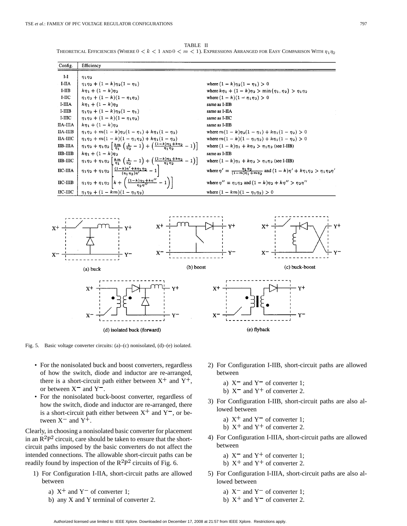

TABLE II

Fig. 5. Basic voltage converter circuits: (a)–(c) nonisolated, (d)–(e) isolated.

- For the nonisolated buck and boost converters, regardless of how the switch, diode and inductor are re-arranged, there is a short-circuit path either between  $X^+$  and  $Y^+$ , or between  $X^-$  and  $Y^-$ .
- For the nonisolated buck-boost converter, regardless of how the switch, diode and inductor are re-arranged, there is a short-circuit path either between  $X^+$  and  $Y^-$ , or between  $X^-$  and  $Y^+$ .

Clearly, in choosing a nonisolated basic converter for placement in an  $R^2P^2$  circuit, care should be taken to ensure that the shortcircuit paths imposed by the basic converters do not affect the intended connections. The allowable short-circuit paths can be readily found by inspection of the  $R^2P^2$  circuits of Fig. 6.

- 1) For Configuration I-IIA, short-circuit paths are allowed between
	- a)  $X^+$  and  $Y^-$  of converter 1;
	- b) any X and Y terminal of converter 2.
- 2) For Configuration I-IIB, short-circuit paths are allowed between
	- a)  $X^-$  and  $Y^-$  of converter 1;
	- b)  $X^-$  and  $Y^+$  of converter 2.
- 3) For Configuration I-IIB, short-circuit paths are also allowed between
	- a)  $X^+$  and  $Y^-$  of converter 1;
	- b)  $X^+$  and  $Y^+$  of converter 2.
- 4) For Configuration I-IIIA, short-circuit paths are allowed between
	- a)  $X^-$  and  $Y^+$  of converter 1;
	- b)  $X^+$  and  $Y^+$  of converter 2.
- 5) For Configuration I-IIIA, short-circuit paths are also allowed between
	- a)  $X^-$  and  $Y^-$  of converter 1;
	- b)  $X^+$  and  $Y^-$  of converter 2.
- Authorized licensed use limited to: IEEE Xplore. Downloaded on December 17, 2008 at 21:57 from IEEE Xplore. Restrictions apply.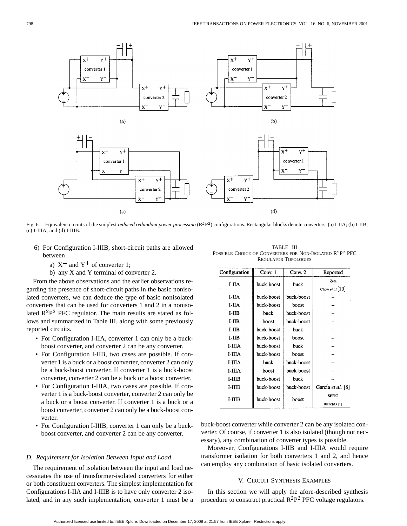

Fig. 6. Equivalent circuits of the simplest *reduced redundant power processing* ( $R^2P^2$ ) configurations. Rectangular blocks denote converters. (a) I-IIA; (b) I-IIB; (c) I-IIIA; and (d) I-IIIB.

- 6) For Configuration I-IIIB, short-circuit paths are allowed between
	- a)  $X^-$  and  $Y^+$  of converter 1;
	- b) any X and Y terminal of converter 2.

From the above observations and the earlier observations regarding the presence of short-circuit paths in the basic nonisolated converters, we can deduce the type of basic nonisolated converters that can be used for converters 1 and 2 in a nonisolated  $R^2P^2$  PFC regulator. The main results are stated as follows and summarized in Table III, along with some previously reported circuits.

- For Configuration I-IIA, converter 1 can only be a buckboost converter, and converter 2 can be any converter.
- For Configuration I-IIB, two cases are possible. If converter 1 is a buck or a boost converter, converter 2 can only be a buck-boost converter. If converter 1 is a buck-boost converter, converter 2 can be a buck or a boost converter.
- For Configuration I-IIIA, two cases are possible. If converter 1 is a buck-boost converter, converter 2 can only be a buck or a boost converter. If converter 1 is a buck or a boost converter, converter 2 can only be a buck-boost converter.
- For Configuration I-IIIB, converter 1 can only be a buckboost converter, and converter 2 can be any converter.

# *D. Requirement for Isolation Between Input and Load*

The requirement of isolation between the input and load necessitates the use of transformer-isolated converters for either or both constituent converters. The simplest implementation for Configurations I-IIA and I-IIIB is to have only converter 2 isolated, and in any such implementation, converter 1 must be a

TABLE III POSSIBLE CHOICE OF CONVERTERS FOR NON-ISOLATED  $\mathbb{R}^2\mathbb{P}^2$  PFC REGULATOR TOPOLOGIES

| Configuration | Conv. 1    | Conv. 2    | Reported              |
|---------------|------------|------------|-----------------------|
|               |            | buck       | Zeta                  |
| I-IIA         | buck-boost |            | Chow et al. $[10]$    |
| I-IIA         | buck-boost | buck-boost |                       |
| I-IIA         | buck-boost | boost      |                       |
| <b>I-IIB</b>  | huck       | buck-boost |                       |
| I-IIB         | boost      | buck-boost |                       |
| $I-IIB$       | buck-boost | buck       |                       |
| $I-IIIB$      | buck-boost | hoost      |                       |
| $I-IIIA$      | buck-boost | buck       |                       |
| I-IIIA        | buck-boost | boost      |                       |
| I-IIIA        | buck       | buck-boost |                       |
| I-IIIA        | boost      | buck-boost |                       |
| I-IIIB        | buck-boost | buck       |                       |
| I-IIIB        | buck-boost | buck-boost | García et al. [8]     |
| $I-IIIB$      | buck-boost | boost      | <b>SEPIC</b>          |
|               |            |            | BIFRED <sup>[1]</sup> |

buck-boost converter while converter 2 can be any isolated converter. Of course, if converter 1 is also isolated (though not necessary), any combination of converter types is possible.

Moreover, Configurations I-IIB and I-IIIA would require transformer isolation for both converters 1 and 2, and hence can employ any combination of basic isolated converters.

#### V. CIRCUIT SYNTHESIS EXAMPLES

In this section we will apply the afore-described synthesis procedure to construct practical  $R^2P^2$  PFC voltage regulators.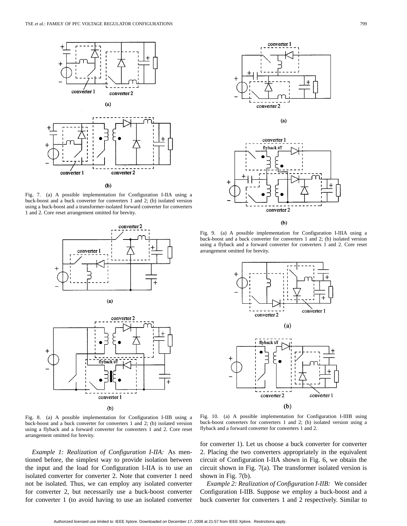

Fig. 7. (a) A possible implementation for Configuration I-IIA using a buck-boost and a buck converter for converters 1 and 2; (b) isolated version using a buck-boost and a transformer-isolated forward converter for converters 1 and 2. Core reset arrangement omitted for brevity.



Fig. 8. (a) A possible implementation for Configuration I-IIB using a buck-boost and a buck converter for converters 1 and 2; (b) isolated version using a flyback and a forward converter for converters 1 and 2. Core reset arrangement omitted for brevity.

*Example 1: Realization of Configuration I-IIA:* As mentioned before, the simplest way to provide isolation between the input and the load for Configuration I-IIA is to use an isolated converter for converter 2. Note that converter 1 need not be isolated. Thus, we can employ any isolated converter for converter 2, but necessarily use a buck-boost converter for converter 1 (to avoid having to use an isolated converter





 $(b)$ 

Fig. 9. (a) A possible implementation for Configuration I-IIIA using a buck-boost and a buck converter for converters 1 and 2; (b) isolated version using a flyback and a forward converter for converters 1 and 2. Core reset arrangement omitted for brevity.



Fig. 10. (a) A possible implementation for Configuration I-IIIB using buck-boost converters for converters 1 and 2; (b) isolated version using a flyback and a forward converter for converters 1 and 2.

for converter 1). Let us choose a buck converter for converter 2. Placing the two converters appropriately in the equivalent circuit of Configuration I-IIA shown in Fig. 6, we obtain the circuit shown in Fig. 7(a). The transformer isolated version is shown in Fig. 7(b).

*Example 2: Realization of Configuration I-IIB:* We consider Configuration I-IIB. Suppose we employ a buck-boost and a buck converter for converters 1 and 2 respectively. Similar to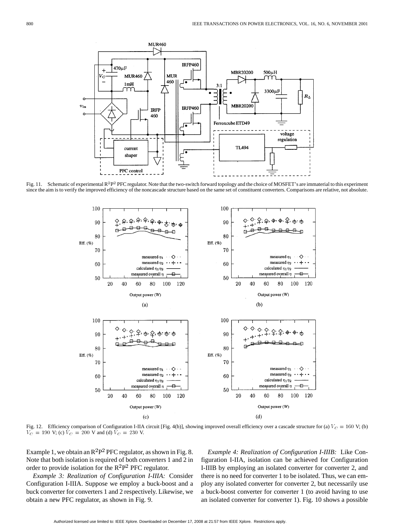

Fig. 11. Schematic of experimental  $R^2P^2$  PFC regulator. Note that the two-switch forward topology and the choice of MOSFET's are immaterial to this experiment since the aim is to verify the improved efficiency of the noncascade structure based on the same set of constituent converters. Comparisons are relative, not absolute.



Fig. 12. Efficiency comparison of Configuration I-IIA circuit [Fig. 4(b)], showing improved overall efficiency over a cascade structure for (a)  $V_C = 160$  V; (b)  $V_C = 190$  V; (c)  $V_C = 200$  V and (d)  $V_C = 230$  V.

Example 1, we obtain an  $R^2P^2$  PFC regulator, as shown in Fig. 8. Note that both isolation is required of both converters 1 and 2 in order to provide isolation for the  $R^2P^2$  PFC regulator.

*Example 3: Realization of Configuration I-IIIA:* Consider Configuration I-IIIA. Suppose we employ a buck-boost and a buck converter for converters 1 and 2 respectively. Likewise, we obtain a new PFC regulator, as shown in Fig. 9.

*Example 4: Realization of Configuration I-IIIB:* Like Configuration I-IIA, isolation can be achieved for Configuration I-IIIB by employing an isolated converter for converter 2, and there is no need for converter 1 to be isolated. Thus, we can employ any isolated converter for converter 2, but necessarily use a buck-boost converter for converter 1 (to avoid having to use an isolated converter for converter 1). Fig. 10 shows a possible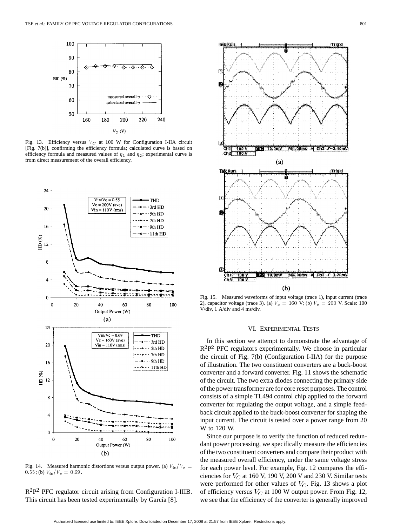

Fig. 13. Efficiency versus  $V_C$  at 100 W for Configuration I-IIA circuit [Fig. 7(b)], confirming the efficiency formula; calculated curve is based on efficiency formula and measured values of  $\eta_1$  and  $\eta_2$ ; experimental curve is from direct measurement of the overall efficiency.



Fig. 14. Measured harmonic distortions versus output power. (a)  $V_{\rm in}/V_{\rm c} =$ 0.55; (b)  $V_{\rm in}/V_{\rm c} = 0.69$ .

 $R^2P^2$  PFC regulator circuit arising from Configuration I-IIIB. This circuit has been tested experimentally by García [8].



Fig. 15. Measured waveforms of input voltage (trace 1), input current (trace 2), capacitor voltage (trace 3). (a)  $V_c = 160 \text{ V}$ ; (b)  $V_c = 200 \text{ V}$ . Scale: 100 V/div, 1 A/div and 4 ms/div.

# VI. EXPERIMENTAL TESTS

In this section we attempt to demonstrate the advantage of  $R^2P^2$  PFC regulators experimentally. We choose in particular the circuit of Fig. 7(b) (Configuration I-IIA) for the purpose of illustration. The two constituent converters are a buck-boost converter and a forward converter. Fig. 11 shows the schematic of the circuit. The two extra diodes connecting the primary side of the power transformer are for core reset purposes. The control consists of a simple TL494 control chip applied to the forward converter for regulating the output voltage, and a simple feedback circuit applied to the buck-boost converter for shaping the input current. The circuit is tested over a power range from 20 W to 120 W.

Since our purpose is to verify the function of reduced redundant power processing, we specifically measure the efficiencies of the two constituent converters and compare their product with the measured overall efficiency, under the same voltage stress for each power level. For example, Fig. 12 compares the efficiencies for  $V_C$  at 160 V, 190 V, 200 V and 230 V. Similar tests were performed for other values of  $V_C$ . Fig. 13 shows a plot of efficiency versus  $V_C$  at 100 W output power. From Fig. 12, we see that the efficiency of the converter is generally improved